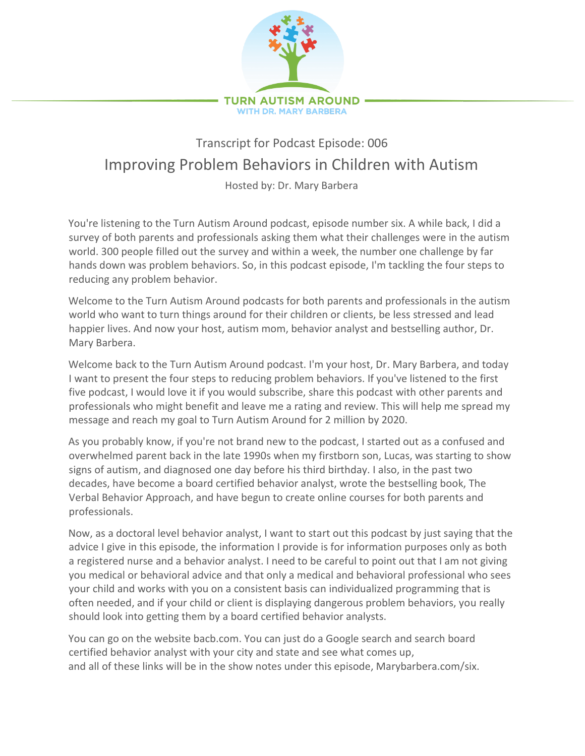

## Transcript for Podcast Episode: 006 Improving Problem Behaviors in Children with Autism

Hosted by: Dr. Mary Barbera

You're listening to the Turn Autism Around podcast, episode number six. A while back, I did a survey of both parents and professionals asking them what their challenges were in the autism world. 300 people filled out the survey and within a week, the number one challenge by far hands down was problem behaviors. So, in this podcast episode, I'm tackling the four steps to reducing any problem behavior.

Welcome to the Turn Autism Around podcasts for both parents and professionals in the autism world who want to turn things around for their children or clients, be less stressed and lead happier lives. And now your host, autism mom, behavior analyst and bestselling author, Dr. Mary Barbera.

Welcome back to the Turn Autism Around podcast. I'm your host, Dr. Mary Barbera, and today I want to present the four steps to reducing problem behaviors. If you've listened to the first five podcast, I would love it if you would subscribe, share this podcast with other parents and professionals who might benefit and leave me a rating and review. This will help me spread my message and reach my goal to Turn Autism Around for 2 million by 2020.

As you probably know, if you're not brand new to the podcast, I started out as a confused and overwhelmed parent back in the late 1990s when my firstborn son, Lucas, was starting to show signs of autism, and diagnosed one day before his third birthday. I also, in the past two decades, have become a board certified behavior analyst, wrote the bestselling book, The Verbal Behavior Approach, and have begun to create online courses for both parents and professionals.

Now, as a doctoral level behavior analyst, I want to start out this podcast by just saying that the advice I give in this episode, the information I provide is for information purposes only as both a registered nurse and a behavior analyst. I need to be careful to point out that I am not giving you medical or behavioral advice and that only a medical and behavioral professional who sees your child and works with you on a consistent basis can individualized programming that is often needed, and if your child or client is displaying dangerous problem behaviors, you really should look into getting them by a board certified behavior analysts.

You can go on the website bacb.com. You can just do a Google search and search board certified behavior analyst with your city and state and see what comes up, and all of these links will be in the show notes under this episode, Marybarbera.com/six.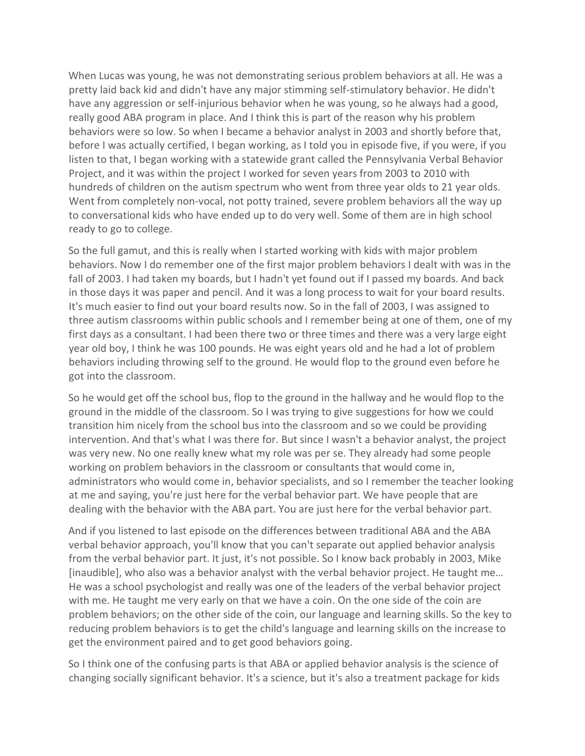When Lucas was young, he was not demonstrating serious problem behaviors at all. He was a pretty laid back kid and didn't have any major stimming self-stimulatory behavior. He didn't have any aggression or self-injurious behavior when he was young, so he always had a good, really good ABA program in place. And I think this is part of the reason why his problem behaviors were so low. So when I became a behavior analyst in 2003 and shortly before that, before I was actually certified, I began working, as I told you in episode five, if you were, if you listen to that, I began working with a statewide grant called the Pennsylvania Verbal Behavior Project, and it was within the project I worked for seven years from 2003 to 2010 with hundreds of children on the autism spectrum who went from three year olds to 21 year olds. Went from completely non-vocal, not potty trained, severe problem behaviors all the way up to conversational kids who have ended up to do very well. Some of them are in high school ready to go to college.

So the full gamut, and this is really when I started working with kids with major problem behaviors. Now I do remember one of the first major problem behaviors I dealt with was in the fall of 2003. I had taken my boards, but I hadn't yet found out if I passed my boards. And back in those days it was paper and pencil. And it was a long process to wait for your board results. It's much easier to find out your board results now. So in the fall of 2003, I was assigned to three autism classrooms within public schools and I remember being at one of them, one of my first days as a consultant. I had been there two or three times and there was a very large eight year old boy, I think he was 100 pounds. He was eight years old and he had a lot of problem behaviors including throwing self to the ground. He would flop to the ground even before he got into the classroom.

So he would get off the school bus, flop to the ground in the hallway and he would flop to the ground in the middle of the classroom. So I was trying to give suggestions for how we could transition him nicely from the school bus into the classroom and so we could be providing intervention. And that's what I was there for. But since I wasn't a behavior analyst, the project was very new. No one really knew what my role was per se. They already had some people working on problem behaviors in the classroom or consultants that would come in, administrators who would come in, behavior specialists, and so I remember the teacher looking at me and saying, you're just here for the verbal behavior part. We have people that are dealing with the behavior with the ABA part. You are just here for the verbal behavior part.

And if you listened to last episode on the differences between traditional ABA and the ABA verbal behavior approach, you'll know that you can't separate out applied behavior analysis from the verbal behavior part. It just, it's not possible. So I know back probably in 2003, Mike [inaudible], who also was a behavior analyst with the verbal behavior project. He taught me… He was a school psychologist and really was one of the leaders of the verbal behavior project with me. He taught me very early on that we have a coin. On the one side of the coin are problem behaviors; on the other side of the coin, our language and learning skills. So the key to reducing problem behaviors is to get the child's language and learning skills on the increase to get the environment paired and to get good behaviors going.

So I think one of the confusing parts is that ABA or applied behavior analysis is the science of changing socially significant behavior. It's a science, but it's also a treatment package for kids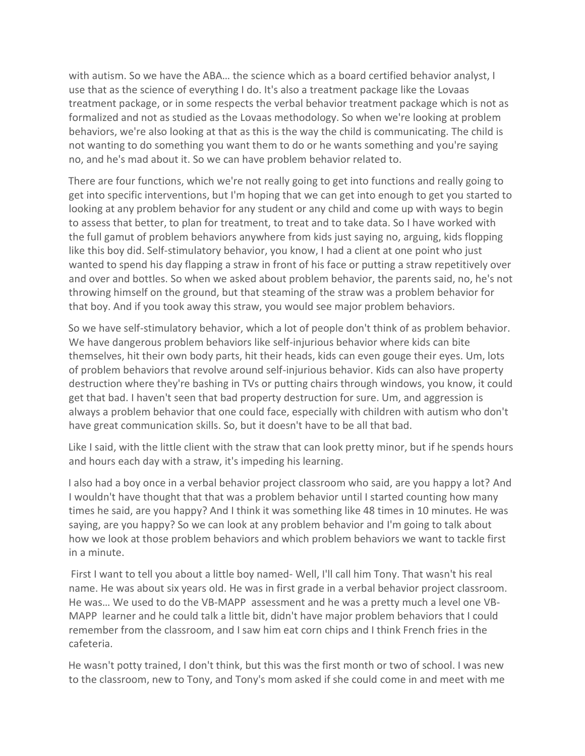with autism. So we have the ABA… the science which as a board certified behavior analyst, I use that as the science of everything I do. It's also a treatment package like the Lovaas treatment package, or in some respects the verbal behavior treatment package which is not as formalized and not as studied as the Lovaas methodology. So when we're looking at problem behaviors, we're also looking at that as this is the way the child is communicating. The child is not wanting to do something you want them to do or he wants something and you're saying no, and he's mad about it. So we can have problem behavior related to.

There are four functions, which we're not really going to get into functions and really going to get into specific interventions, but I'm hoping that we can get into enough to get you started to looking at any problem behavior for any student or any child and come up with ways to begin to assess that better, to plan for treatment, to treat and to take data. So I have worked with the full gamut of problem behaviors anywhere from kids just saying no, arguing, kids flopping like this boy did. Self-stimulatory behavior, you know, I had a client at one point who just wanted to spend his day flapping a straw in front of his face or putting a straw repetitively over and over and bottles. So when we asked about problem behavior, the parents said, no, he's not throwing himself on the ground, but that steaming of the straw was a problem behavior for that boy. And if you took away this straw, you would see major problem behaviors.

So we have self-stimulatory behavior, which a lot of people don't think of as problem behavior. We have dangerous problem behaviors like self-injurious behavior where kids can bite themselves, hit their own body parts, hit their heads, kids can even gouge their eyes. Um, lots of problem behaviors that revolve around self-injurious behavior. Kids can also have property destruction where they're bashing in TVs or putting chairs through windows, you know, it could get that bad. I haven't seen that bad property destruction for sure. Um, and aggression is always a problem behavior that one could face, especially with children with autism who don't have great communication skills. So, but it doesn't have to be all that bad.

Like I said, with the little client with the straw that can look pretty minor, but if he spends hours and hours each day with a straw, it's impeding his learning.

I also had a boy once in a verbal behavior project classroom who said, are you happy a lot? And I wouldn't have thought that that was a problem behavior until I started counting how many times he said, are you happy? And I think it was something like 48 times in 10 minutes. He was saying, are you happy? So we can look at any problem behavior and I'm going to talk about how we look at those problem behaviors and which problem behaviors we want to tackle first in a minute.

First I want to tell you about a little boy named- Well, I'll call him Tony. That wasn't his real name. He was about six years old. He was in first grade in a verbal behavior project classroom. He was… We used to do the VB-MAPP assessment and he was a pretty much a level one VB-MAPP learner and he could talk a little bit, didn't have major problem behaviors that I could remember from the classroom, and I saw him eat corn chips and I think French fries in the cafeteria.

He wasn't potty trained, I don't think, but this was the first month or two of school. I was new to the classroom, new to Tony, and Tony's mom asked if she could come in and meet with me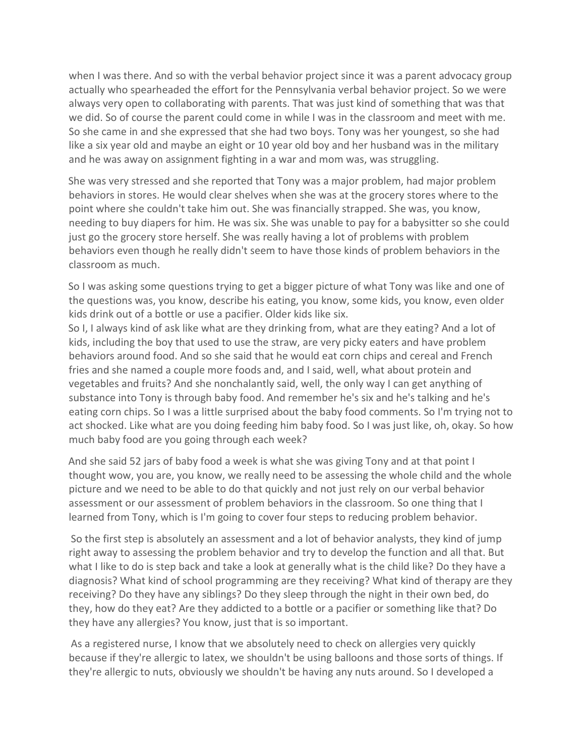when I was there. And so with the verbal behavior project since it was a parent advocacy group actually who spearheaded the effort for the Pennsylvania verbal behavior project. So we were always very open to collaborating with parents. That was just kind of something that was that we did. So of course the parent could come in while I was in the classroom and meet with me. So she came in and she expressed that she had two boys. Tony was her youngest, so she had like a six year old and maybe an eight or 10 year old boy and her husband was in the military and he was away on assignment fighting in a war and mom was, was struggling.

She was very stressed and she reported that Tony was a major problem, had major problem behaviors in stores. He would clear shelves when she was at the grocery stores where to the point where she couldn't take him out. She was financially strapped. She was, you know, needing to buy diapers for him. He was six. She was unable to pay for a babysitter so she could just go the grocery store herself. She was really having a lot of problems with problem behaviors even though he really didn't seem to have those kinds of problem behaviors in the classroom as much.

So I was asking some questions trying to get a bigger picture of what Tony was like and one of the questions was, you know, describe his eating, you know, some kids, you know, even older kids drink out of a bottle or use a pacifier. Older kids like six.

So I, I always kind of ask like what are they drinking from, what are they eating? And a lot of kids, including the boy that used to use the straw, are very picky eaters and have problem behaviors around food. And so she said that he would eat corn chips and cereal and French fries and she named a couple more foods and, and I said, well, what about protein and vegetables and fruits? And she nonchalantly said, well, the only way I can get anything of substance into Tony is through baby food. And remember he's six and he's talking and he's eating corn chips. So I was a little surprised about the baby food comments. So I'm trying not to act shocked. Like what are you doing feeding him baby food. So I was just like, oh, okay. So how much baby food are you going through each week?

And she said 52 jars of baby food a week is what she was giving Tony and at that point I thought wow, you are, you know, we really need to be assessing the whole child and the whole picture and we need to be able to do that quickly and not just rely on our verbal behavior assessment or our assessment of problem behaviors in the classroom. So one thing that I learned from Tony, which is I'm going to cover four steps to reducing problem behavior.

So the first step is absolutely an assessment and a lot of behavior analysts, they kind of jump right away to assessing the problem behavior and try to develop the function and all that. But what I like to do is step back and take a look at generally what is the child like? Do they have a diagnosis? What kind of school programming are they receiving? What kind of therapy are they receiving? Do they have any siblings? Do they sleep through the night in their own bed, do they, how do they eat? Are they addicted to a bottle or a pacifier or something like that? Do they have any allergies? You know, just that is so important.

As a registered nurse, I know that we absolutely need to check on allergies very quickly because if they're allergic to latex, we shouldn't be using balloons and those sorts of things. If they're allergic to nuts, obviously we shouldn't be having any nuts around. So I developed a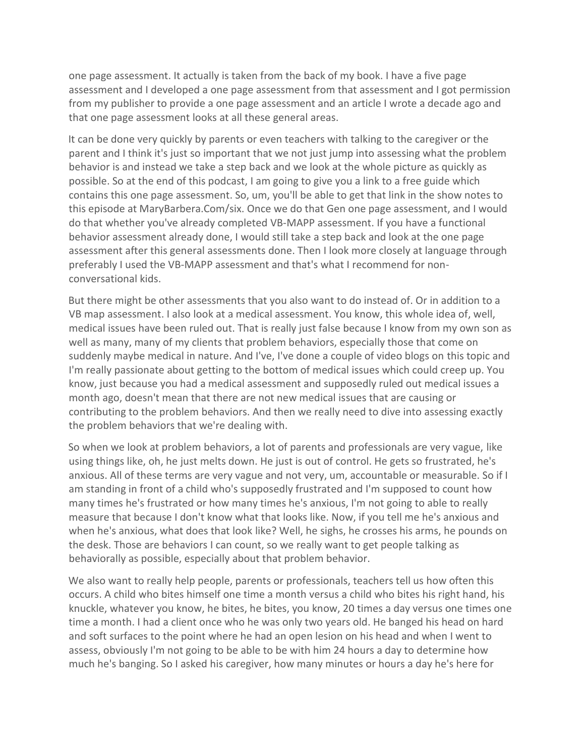one page assessment. It actually is taken from the back of my book. I have a five page assessment and I developed a one page assessment from that assessment and I got permission from my publisher to provide a one page assessment and an article I wrote a decade ago and that one page assessment looks at all these general areas.

It can be done very quickly by parents or even teachers with talking to the caregiver or the parent and I think it's just so important that we not just jump into assessing what the problem behavior is and instead we take a step back and we look at the whole picture as quickly as possible. So at the end of this podcast, I am going to give you a link to a free guide which contains this one page assessment. So, um, you'll be able to get that link in the show notes to this episode at MaryBarbera.Com/six. Once we do that Gen one page assessment, and I would do that whether you've already completed VB-MAPP assessment. If you have a functional behavior assessment already done, I would still take a step back and look at the one page assessment after this general assessments done. Then I look more closely at language through preferably I used the VB-MAPP assessment and that's what I recommend for nonconversational kids.

But there might be other assessments that you also want to do instead of. Or in addition to a VB map assessment. I also look at a medical assessment. You know, this whole idea of, well, medical issues have been ruled out. That is really just false because I know from my own son as well as many, many of my clients that problem behaviors, especially those that come on suddenly maybe medical in nature. And I've, I've done a couple of video blogs on this topic and I'm really passionate about getting to the bottom of medical issues which could creep up. You know, just because you had a medical assessment and supposedly ruled out medical issues a month ago, doesn't mean that there are not new medical issues that are causing or contributing to the problem behaviors. And then we really need to dive into assessing exactly the problem behaviors that we're dealing with.

So when we look at problem behaviors, a lot of parents and professionals are very vague, like using things like, oh, he just melts down. He just is out of control. He gets so frustrated, he's anxious. All of these terms are very vague and not very, um, accountable or measurable. So if I am standing in front of a child who's supposedly frustrated and I'm supposed to count how many times he's frustrated or how many times he's anxious, I'm not going to able to really measure that because I don't know what that looks like. Now, if you tell me he's anxious and when he's anxious, what does that look like? Well, he sighs, he crosses his arms, he pounds on the desk. Those are behaviors I can count, so we really want to get people talking as behaviorally as possible, especially about that problem behavior.

We also want to really help people, parents or professionals, teachers tell us how often this occurs. A child who bites himself one time a month versus a child who bites his right hand, his knuckle, whatever you know, he bites, he bites, you know, 20 times a day versus one times one time a month. I had a client once who he was only two years old. He banged his head on hard and soft surfaces to the point where he had an open lesion on his head and when I went to assess, obviously I'm not going to be able to be with him 24 hours a day to determine how much he's banging. So I asked his caregiver, how many minutes or hours a day he's here for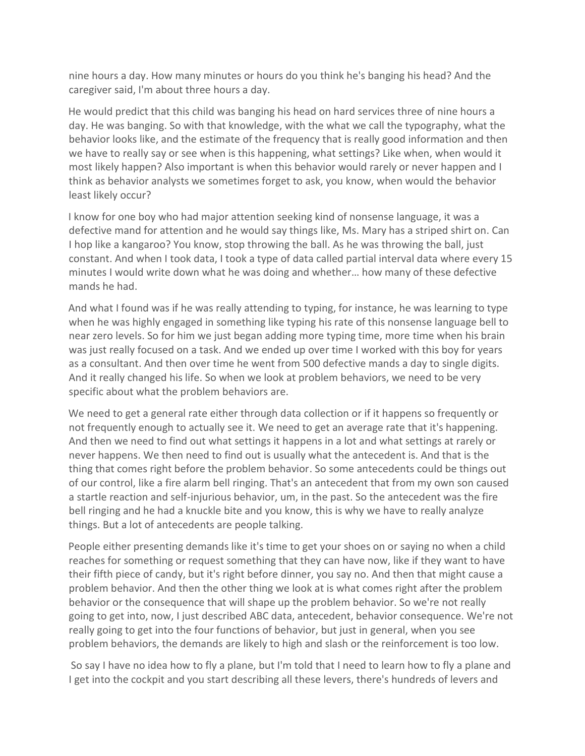nine hours a day. How many minutes or hours do you think he's banging his head? And the caregiver said, I'm about three hours a day.

He would predict that this child was banging his head on hard services three of nine hours a day. He was banging. So with that knowledge, with the what we call the typography, what the behavior looks like, and the estimate of the frequency that is really good information and then we have to really say or see when is this happening, what settings? Like when, when would it most likely happen? Also important is when this behavior would rarely or never happen and I think as behavior analysts we sometimes forget to ask, you know, when would the behavior least likely occur?

I know for one boy who had major attention seeking kind of nonsense language, it was a defective mand for attention and he would say things like, Ms. Mary has a striped shirt on. Can I hop like a kangaroo? You know, stop throwing the ball. As he was throwing the ball, just constant. And when I took data, I took a type of data called partial interval data where every 15 minutes I would write down what he was doing and whether… how many of these defective mands he had.

And what I found was if he was really attending to typing, for instance, he was learning to type when he was highly engaged in something like typing his rate of this nonsense language bell to near zero levels. So for him we just began adding more typing time, more time when his brain was just really focused on a task. And we ended up over time I worked with this boy for years as a consultant. And then over time he went from 500 defective mands a day to single digits. And it really changed his life. So when we look at problem behaviors, we need to be very specific about what the problem behaviors are.

We need to get a general rate either through data collection or if it happens so frequently or not frequently enough to actually see it. We need to get an average rate that it's happening. And then we need to find out what settings it happens in a lot and what settings at rarely or never happens. We then need to find out is usually what the antecedent is. And that is the thing that comes right before the problem behavior. So some antecedents could be things out of our control, like a fire alarm bell ringing. That's an antecedent that from my own son caused a startle reaction and self-injurious behavior, um, in the past. So the antecedent was the fire bell ringing and he had a knuckle bite and you know, this is why we have to really analyze things. But a lot of antecedents are people talking.

People either presenting demands like it's time to get your shoes on or saying no when a child reaches for something or request something that they can have now, like if they want to have their fifth piece of candy, but it's right before dinner, you say no. And then that might cause a problem behavior. And then the other thing we look at is what comes right after the problem behavior or the consequence that will shape up the problem behavior. So we're not really going to get into, now, I just described ABC data, antecedent, behavior consequence. We're not really going to get into the four functions of behavior, but just in general, when you see problem behaviors, the demands are likely to high and slash or the reinforcement is too low.

So say I have no idea how to fly a plane, but I'm told that I need to learn how to fly a plane and I get into the cockpit and you start describing all these levers, there's hundreds of levers and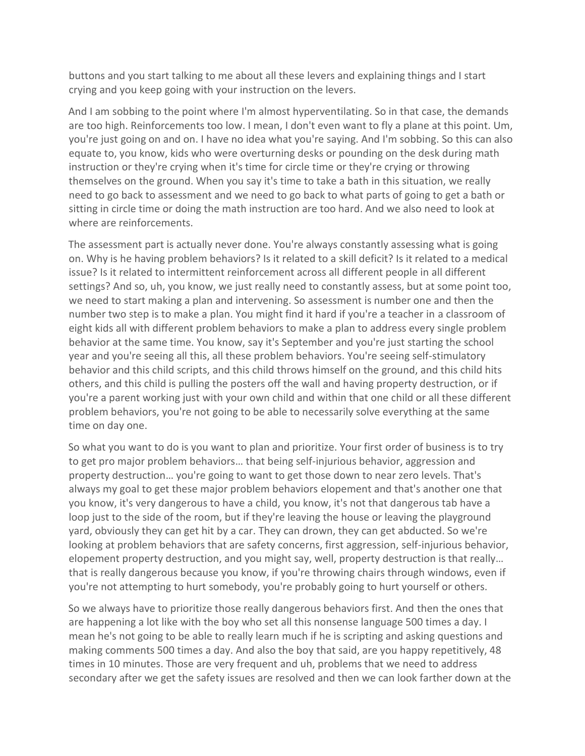buttons and you start talking to me about all these levers and explaining things and I start crying and you keep going with your instruction on the levers.

And I am sobbing to the point where I'm almost hyperventilating. So in that case, the demands are too high. Reinforcements too low. I mean, I don't even want to fly a plane at this point. Um, you're just going on and on. I have no idea what you're saying. And I'm sobbing. So this can also equate to, you know, kids who were overturning desks or pounding on the desk during math instruction or they're crying when it's time for circle time or they're crying or throwing themselves on the ground. When you say it's time to take a bath in this situation, we really need to go back to assessment and we need to go back to what parts of going to get a bath or sitting in circle time or doing the math instruction are too hard. And we also need to look at where are reinforcements.

The assessment part is actually never done. You're always constantly assessing what is going on. Why is he having problem behaviors? Is it related to a skill deficit? Is it related to a medical issue? Is it related to intermittent reinforcement across all different people in all different settings? And so, uh, you know, we just really need to constantly assess, but at some point too, we need to start making a plan and intervening. So assessment is number one and then the number two step is to make a plan. You might find it hard if you're a teacher in a classroom of eight kids all with different problem behaviors to make a plan to address every single problem behavior at the same time. You know, say it's September and you're just starting the school year and you're seeing all this, all these problem behaviors. You're seeing self-stimulatory behavior and this child scripts, and this child throws himself on the ground, and this child hits others, and this child is pulling the posters off the wall and having property destruction, or if you're a parent working just with your own child and within that one child or all these different problem behaviors, you're not going to be able to necessarily solve everything at the same time on day one.

So what you want to do is you want to plan and prioritize. Your first order of business is to try to get pro major problem behaviors… that being self-injurious behavior, aggression and property destruction… you're going to want to get those down to near zero levels. That's always my goal to get these major problem behaviors elopement and that's another one that you know, it's very dangerous to have a child, you know, it's not that dangerous tab have a loop just to the side of the room, but if they're leaving the house or leaving the playground yard, obviously they can get hit by a car. They can drown, they can get abducted. So we're looking at problem behaviors that are safety concerns, first aggression, self-injurious behavior, elopement property destruction, and you might say, well, property destruction is that really… that is really dangerous because you know, if you're throwing chairs through windows, even if you're not attempting to hurt somebody, you're probably going to hurt yourself or others.

So we always have to prioritize those really dangerous behaviors first. And then the ones that are happening a lot like with the boy who set all this nonsense language 500 times a day. I mean he's not going to be able to really learn much if he is scripting and asking questions and making comments 500 times a day. And also the boy that said, are you happy repetitively, 48 times in 10 minutes. Those are very frequent and uh, problems that we need to address secondary after we get the safety issues are resolved and then we can look farther down at the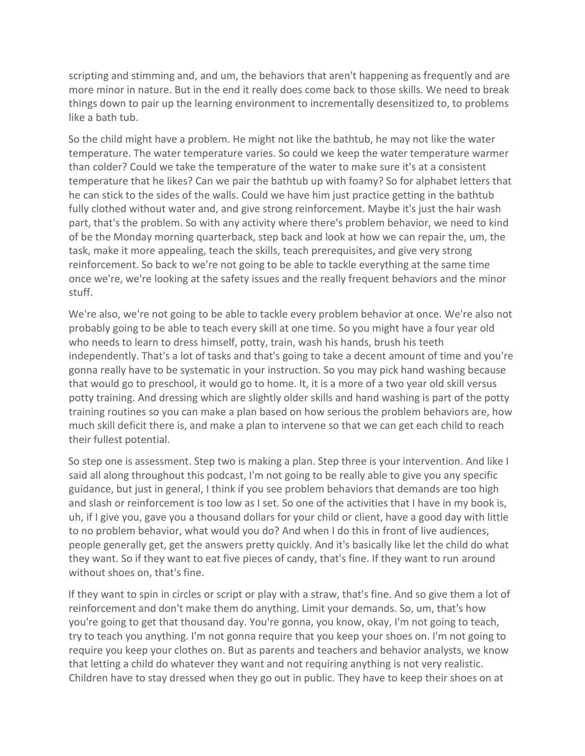scripting and stimming and, and um, the behaviors that aren't happening as frequently and are more minor in nature. But in the end it really does come back to those skills. We need to break things down to pair up the learning environment to incrementally desensitized to, to problems like a bath tub.

So the child might have a problem. He might not like the bathtub, he may not like the water temperature. The water temperature varies. So could we keep the water temperature warmer than colder? Could we take the temperature of the water to make sure it's at a consistent temperature that he likes? Can we pair the bathtub up with foamy? So for alphabet letters that he can stick to the sides of the walls. Could we have him just practice getting in the bathtub fully clothed without water and, and give strong reinforcement. Maybe it's just the hair wash part, that's the problem. So with any activity where there's problem behavior, we need to kind of be the Monday morning quarterback, step back and look at how we can repair the, um, the task, make it more appealing, teach the skills, teach prerequisites, and give very strong reinforcement. So back to we're not going to be able to tackle everything at the same time once we're, we're looking at the safety issues and the really frequent behaviors and the minor stuff.

We're also, we're not going to be able to tackle every problem behavior at once. We're also not probably going to be able to teach every skill at one time. So you might have a four year old who needs to learn to dress himself, potty, train, wash his hands, brush his teeth independently. That's a lot of tasks and that's going to take a decent amount of time and you're gonna really have to be systematic in your instruction. So you may pick hand washing because that would go to preschool, it would go to home. It, it is a more of a two year old skill versus potty training. And dressing which are slightly older skills and hand washing is part of the potty training routines so you can make a plan based on how serious the problem behaviors are, how much skill deficit there is, and make a plan to intervene so that we can get each child to reach their fullest potential.

So step one is assessment. Step two is making a plan. Step three is your intervention. And like I said all along throughout this podcast, I'm not going to be really able to give you any specific guidance, but just in general, I think if you see problem behaviors that demands are too high and slash or reinforcement is too low as I set. So one of the activities that I have in my book is, uh, if I give you, gave you a thousand dollars for your child or client, have a good day with little to no problem behavior, what would you do? And when I do this in front of live audiences, people generally get, get the answers pretty quickly. And it's basically like let the child do what they want. So if they want to eat five pieces of candy, that's fine. If they want to run around without shoes on, that's fine.

If they want to spin in circles or script or play with a straw, that's fine. And so give them a lot of reinforcement and don't make them do anything. Limit your demands. So, um, that's how you're going to get that thousand day. You're gonna, you know, okay, I'm not going to teach, try to teach you anything. I'm not gonna require that you keep your shoes on. I'm not going to require you keep your clothes on. But as parents and teachers and behavior analysts, we know that letting a child do whatever they want and not requiring anything is not very realistic. Children have to stay dressed when they go out in public. They have to keep their shoes on at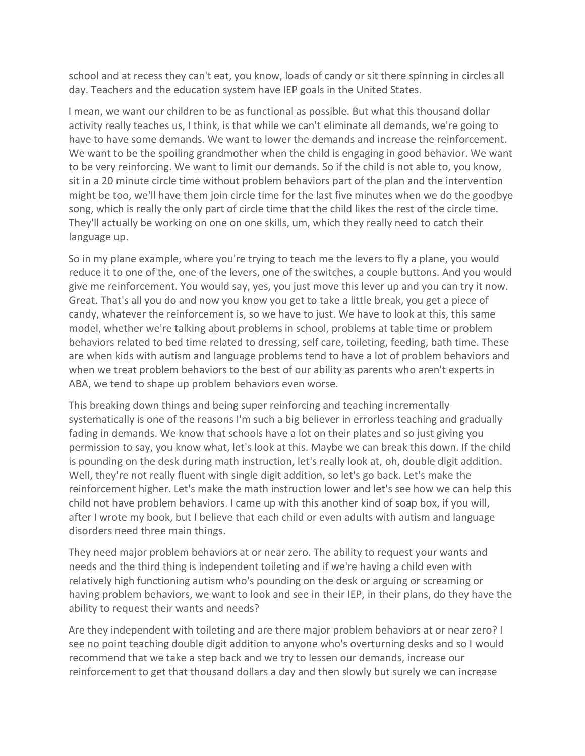school and at recess they can't eat, you know, loads of candy or sit there spinning in circles all day. Teachers and the education system have IEP goals in the United States.

I mean, we want our children to be as functional as possible. But what this thousand dollar activity really teaches us, I think, is that while we can't eliminate all demands, we're going to have to have some demands. We want to lower the demands and increase the reinforcement. We want to be the spoiling grandmother when the child is engaging in good behavior. We want to be very reinforcing. We want to limit our demands. So if the child is not able to, you know, sit in a 20 minute circle time without problem behaviors part of the plan and the intervention might be too, we'll have them join circle time for the last five minutes when we do the goodbye song, which is really the only part of circle time that the child likes the rest of the circle time. They'll actually be working on one on one skills, um, which they really need to catch their language up.

So in my plane example, where you're trying to teach me the levers to fly a plane, you would reduce it to one of the, one of the levers, one of the switches, a couple buttons. And you would give me reinforcement. You would say, yes, you just move this lever up and you can try it now. Great. That's all you do and now you know you get to take a little break, you get a piece of candy, whatever the reinforcement is, so we have to just. We have to look at this, this same model, whether we're talking about problems in school, problems at table time or problem behaviors related to bed time related to dressing, self care, toileting, feeding, bath time. These are when kids with autism and language problems tend to have a lot of problem behaviors and when we treat problem behaviors to the best of our ability as parents who aren't experts in ABA, we tend to shape up problem behaviors even worse.

This breaking down things and being super reinforcing and teaching incrementally systematically is one of the reasons I'm such a big believer in errorless teaching and gradually fading in demands. We know that schools have a lot on their plates and so just giving you permission to say, you know what, let's look at this. Maybe we can break this down. If the child is pounding on the desk during math instruction, let's really look at, oh, double digit addition. Well, they're not really fluent with single digit addition, so let's go back. Let's make the reinforcement higher. Let's make the math instruction lower and let's see how we can help this child not have problem behaviors. I came up with this another kind of soap box, if you will, after I wrote my book, but I believe that each child or even adults with autism and language disorders need three main things.

They need major problem behaviors at or near zero. The ability to request your wants and needs and the third thing is independent toileting and if we're having a child even with relatively high functioning autism who's pounding on the desk or arguing or screaming or having problem behaviors, we want to look and see in their IEP, in their plans, do they have the ability to request their wants and needs?

Are they independent with toileting and are there major problem behaviors at or near zero? I see no point teaching double digit addition to anyone who's overturning desks and so I would recommend that we take a step back and we try to lessen our demands, increase our reinforcement to get that thousand dollars a day and then slowly but surely we can increase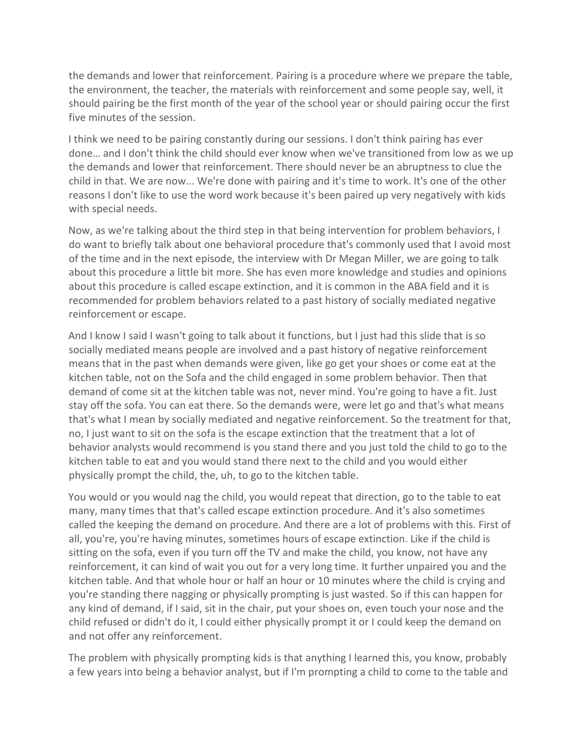the demands and lower that reinforcement. Pairing is a procedure where we prepare the table, the environment, the teacher, the materials with reinforcement and some people say, well, it should pairing be the first month of the year of the school year or should pairing occur the first five minutes of the session.

I think we need to be pairing constantly during our sessions. I don't think pairing has ever done… and I don't think the child should ever know when we've transitioned from low as we up the demands and lower that reinforcement. There should never be an abruptness to clue the child in that. We are now... We're done with pairing and it's time to work. It's one of the other reasons I don't like to use the word work because it's been paired up very negatively with kids with special needs.

Now, as we're talking about the third step in that being intervention for problem behaviors, I do want to briefly talk about one behavioral procedure that's commonly used that I avoid most of the time and in the next episode, the interview with Dr Megan Miller, we are going to talk about this procedure a little bit more. She has even more knowledge and studies and opinions about this procedure is called escape extinction, and it is common in the ABA field and it is recommended for problem behaviors related to a past history of socially mediated negative reinforcement or escape.

And I know I said I wasn't going to talk about it functions, but I just had this slide that is so socially mediated means people are involved and a past history of negative reinforcement means that in the past when demands were given, like go get your shoes or come eat at the kitchen table, not on the Sofa and the child engaged in some problem behavior. Then that demand of come sit at the kitchen table was not, never mind. You're going to have a fit. Just stay off the sofa. You can eat there. So the demands were, were let go and that's what means that's what I mean by socially mediated and negative reinforcement. So the treatment for that, no, I just want to sit on the sofa is the escape extinction that the treatment that a lot of behavior analysts would recommend is you stand there and you just told the child to go to the kitchen table to eat and you would stand there next to the child and you would either physically prompt the child, the, uh, to go to the kitchen table.

You would or you would nag the child, you would repeat that direction, go to the table to eat many, many times that that's called escape extinction procedure. And it's also sometimes called the keeping the demand on procedure. And there are a lot of problems with this. First of all, you're, you're having minutes, sometimes hours of escape extinction. Like if the child is sitting on the sofa, even if you turn off the TV and make the child, you know, not have any reinforcement, it can kind of wait you out for a very long time. It further unpaired you and the kitchen table. And that whole hour or half an hour or 10 minutes where the child is crying and you're standing there nagging or physically prompting is just wasted. So if this can happen for any kind of demand, if I said, sit in the chair, put your shoes on, even touch your nose and the child refused or didn't do it, I could either physically prompt it or I could keep the demand on and not offer any reinforcement.

The problem with physically prompting kids is that anything I learned this, you know, probably a few years into being a behavior analyst, but if I'm prompting a child to come to the table and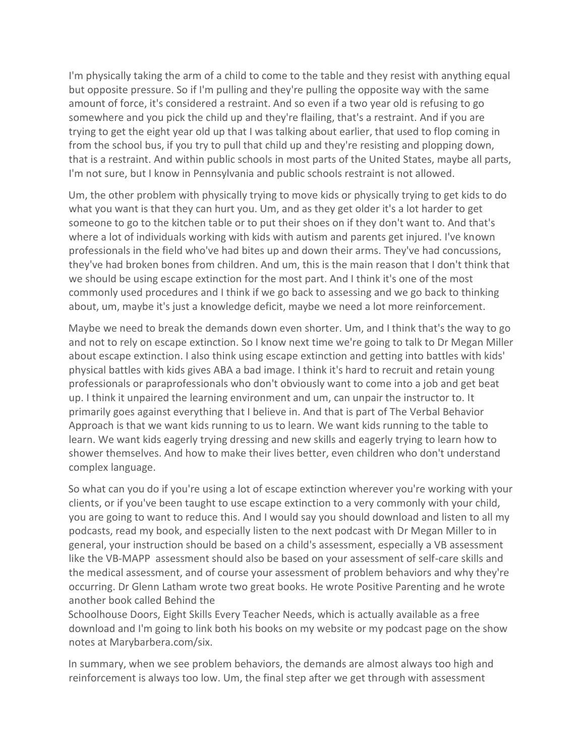I'm physically taking the arm of a child to come to the table and they resist with anything equal but opposite pressure. So if I'm pulling and they're pulling the opposite way with the same amount of force, it's considered a restraint. And so even if a two year old is refusing to go somewhere and you pick the child up and they're flailing, that's a restraint. And if you are trying to get the eight year old up that I was talking about earlier, that used to flop coming in from the school bus, if you try to pull that child up and they're resisting and plopping down, that is a restraint. And within public schools in most parts of the United States, maybe all parts, I'm not sure, but I know in Pennsylvania and public schools restraint is not allowed.

Um, the other problem with physically trying to move kids or physically trying to get kids to do what you want is that they can hurt you. Um, and as they get older it's a lot harder to get someone to go to the kitchen table or to put their shoes on if they don't want to. And that's where a lot of individuals working with kids with autism and parents get injured. I've known professionals in the field who've had bites up and down their arms. They've had concussions, they've had broken bones from children. And um, this is the main reason that I don't think that we should be using escape extinction for the most part. And I think it's one of the most commonly used procedures and I think if we go back to assessing and we go back to thinking about, um, maybe it's just a knowledge deficit, maybe we need a lot more reinforcement.

Maybe we need to break the demands down even shorter. Um, and I think that's the way to go and not to rely on escape extinction. So I know next time we're going to talk to Dr Megan Miller about escape extinction. I also think using escape extinction and getting into battles with kids' physical battles with kids gives ABA a bad image. I think it's hard to recruit and retain young professionals or paraprofessionals who don't obviously want to come into a job and get beat up. I think it unpaired the learning environment and um, can unpair the instructor to. It primarily goes against everything that I believe in. And that is part of The Verbal Behavior Approach is that we want kids running to us to learn. We want kids running to the table to learn. We want kids eagerly trying dressing and new skills and eagerly trying to learn how to shower themselves. And how to make their lives better, even children who don't understand complex language.

So what can you do if you're using a lot of escape extinction wherever you're working with your clients, or if you've been taught to use escape extinction to a very commonly with your child, you are going to want to reduce this. And I would say you should download and listen to all my podcasts, read my book, and especially listen to the next podcast with Dr Megan Miller to in general, your instruction should be based on a child's assessment, especially a VB assessment like the VB-MAPP assessment should also be based on your assessment of self-care skills and the medical assessment, and of course your assessment of problem behaviors and why they're occurring. Dr Glenn Latham wrote two great books. He wrote Positive Parenting and he wrote another book called Behind the

Schoolhouse Doors, Eight Skills Every Teacher Needs, which is actually available as a free download and I'm going to link both his books on my website or my podcast page on the show notes at Marybarbera.com/six.

In summary, when we see problem behaviors, the demands are almost always too high and reinforcement is always too low. Um, the final step after we get through with assessment